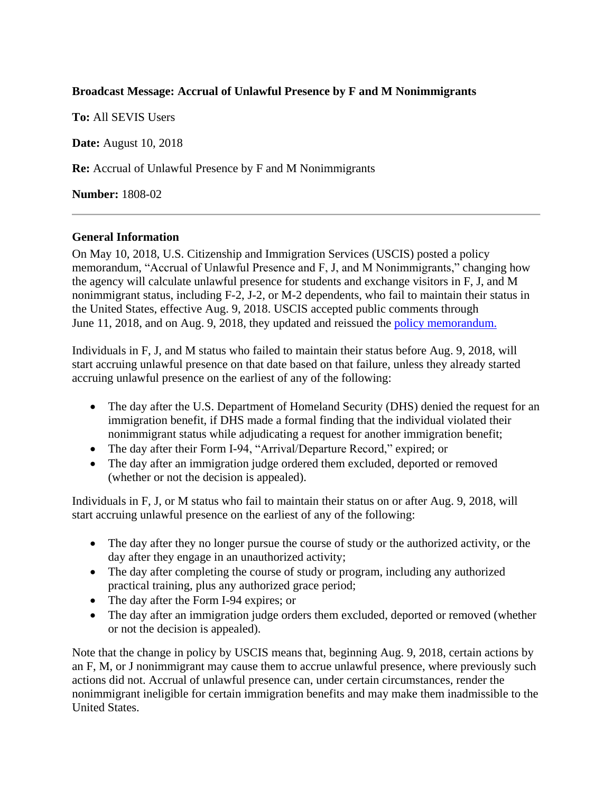## **Broadcast Message: Accrual of Unlawful Presence by F and M Nonimmigrants**

**To:** All SEVIS Users

**Date:** August 10, 2018

**Re:** Accrual of Unlawful Presence by F and M Nonimmigrants

**Number:** 1808-02

## **General Information**

On May 10, 2018, U.S. Citizenship and Immigration Services (USCIS) posted a policy memorandum, "Accrual of Unlawful Presence and F, J, and M Nonimmigrants," changing how the agency will calculate unlawful presence for students and exchange visitors in F, J, and M nonimmigrant status, including F-2, J-2, or M-2 dependents, who fail to maintain their status in the United States, effective Aug. 9, 2018. USCIS accepted public comments through June 11, 2018, and on Aug. 9, 2018, they updated and reissued the [policy memorandum.](https://www.uscis.gov/sites/default/files/USCIS/Laws/Memoranda/2018/2018-08-09-PM-602-1060.1-Accrual-of-Unlawful-Presence-and-F-J-and-M-Nonimmigrants.pdf)

Individuals in F, J, and M status who failed to maintain their status before Aug. 9, 2018, will start accruing unlawful presence on that date based on that failure, unless they already started accruing unlawful presence on the earliest of any of the following:

- The day after the U.S. Department of Homeland Security (DHS) denied the request for an immigration benefit, if DHS made a formal finding that the individual violated their nonimmigrant status while adjudicating a request for another immigration benefit;
- The day after their Form I-94, "Arrival/Departure Record," expired; or
- The day after an immigration judge ordered them excluded, deported or removed (whether or not the decision is appealed).

Individuals in F, J, or M status who fail to maintain their status on or after Aug. 9, 2018, will start accruing unlawful presence on the earliest of any of the following:

- The day after they no longer pursue the course of study or the authorized activity, or the day after they engage in an unauthorized activity;
- The day after completing the course of study or program, including any authorized practical training, plus any authorized grace period;
- The day after the Form I-94 expires; or
- The day after an immigration judge orders them excluded, deported or removed (whether or not the decision is appealed).

Note that the change in policy by USCIS means that, beginning Aug. 9, 2018, certain actions by an F, M, or J nonimmigrant may cause them to accrue unlawful presence, where previously such actions did not. Accrual of unlawful presence can, under certain circumstances, render the nonimmigrant ineligible for certain immigration benefits and may make them inadmissible to the United States.